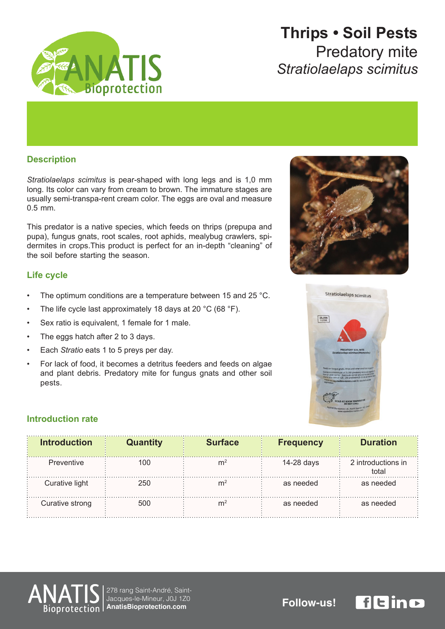

# **Thrips • Soil Pests** Predatory mite *scimitus Stratiolaelaps*

### **Description**

Stratiolaelaps scimitus is pear-shaped with long legs and is 1,0 mm long. Its color can vary from cream to brown. The immature stages are usually semi-transpa-rent cream color. The eggs are oval and measure  $0.5$  mm.

This predator is a native species, which feeds on thrips (prepupa and dermites in crops. This product is perfect for an in-depth "cleaning" of pupa), fungus gnats, root scales, root aphids, mealybug crawlers, spithe soil before starting the season.

### **Life cycle**

- The optimum conditions are a temperature between 15 and 25 °C.
- The life cycle last approximately 18 days at 20  $^{\circ}$ C (68  $^{\circ}$ F).
- Sex ratio is equivalent, 1 female for 1 male.
- The eggs hatch after 2 to 3 days.
- Each Stratio eats 1 to 5 preys per day.
- For lack of food, it becomes a detritus feeders and feeds on algae and plant debris. Predatory mite for fungus gnats and other soil .pests





### **Introduction** rate

| <b>Introduction</b> | <b>Quantity</b> | <b>Surface</b> | <b>Frequency</b> | <b>Duration</b>             |
|---------------------|-----------------|----------------|------------------|-----------------------------|
| Preventive          | 100             | m              | 14-28 days       | 2 introductions in<br>total |
| Curative light      | 250             | m              | as needed        | as needed                   |
| Curative strong     | 500             | m              | as needed        | as needed                   |



278 rang Saint-André, Saint-<br>Jacques-le-Mineur, J0J 1Z0 Jacques-le-Mineur, J0J 1Z0<br>**AnatisBioprotection.com FOIIOW-US!**